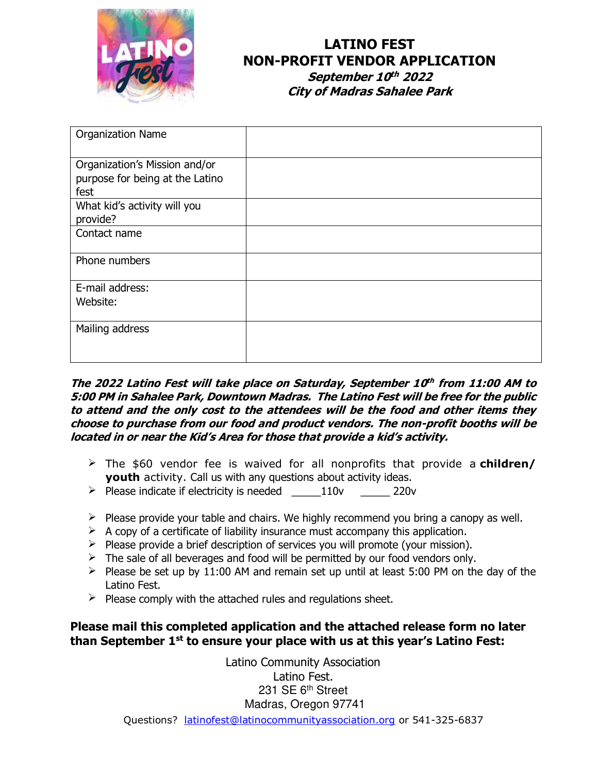

# **LATINO FEST NON-PROFIT VENDOR APPLICATION**

**September 10<sup>th</sup> 2022 City of Madras Sahalee Park**

| <b>Organization Name</b>        |  |
|---------------------------------|--|
|                                 |  |
| Organization's Mission and/or   |  |
| purpose for being at the Latino |  |
| fest                            |  |
| What kid's activity will you    |  |
| provide?                        |  |
| Contact name                    |  |
|                                 |  |
| Phone numbers                   |  |
|                                 |  |
| E-mail address:                 |  |
| Website:                        |  |
|                                 |  |
| Mailing address                 |  |
|                                 |  |
|                                 |  |

#### **The 2022 Latino Fest will take place on Saturday, September 10 th from 11:00 AM to 5:00 PM in Sahalee Park, Downtown Madras. The Latino Fest will be free for the public to attend and the only cost to the attendees will be the food and other items they choose to purchase from our food and product vendors. The non-profit booths will be located in or near the Kid's Area for those that provide a kid's activity.**

- ➢ The \$60 vendor fee is waived for all nonprofits that provide a **children/ youth** activity. Call us with any questions about activity ideas.
- ➢ Please indicate if electricity is needed \_\_\_\_\_110v \_\_\_\_\_ 220v
- $\triangleright$  Please provide your table and chairs. We highly recommend you bring a canopy as well.
- $\triangleright$  A copy of a certificate of liability insurance must accompany this application.
- $\triangleright$  Please provide a brief description of services you will promote (your mission).
- $\geq$  The sale of all beverages and food will be permitted by our food vendors only.
- $\geq$  Please be set up by 11:00 AM and remain set up until at least 5:00 PM on the day of the Latino Fest.
- $\triangleright$  Please comply with the attached rules and regulations sheet.

#### **Please mail this completed application and the attached release form no later than September 1st to ensure your place with us at this year's Latino Fest:**

Questions? [latinofest@latinocommunityassociation.org](mailto:latinofest@latinocommunityassociation.org) or 541-325-6837 Latino Community Association Latino Fest. 231 SE 6<sup>th</sup> Street Madras, Oregon 97741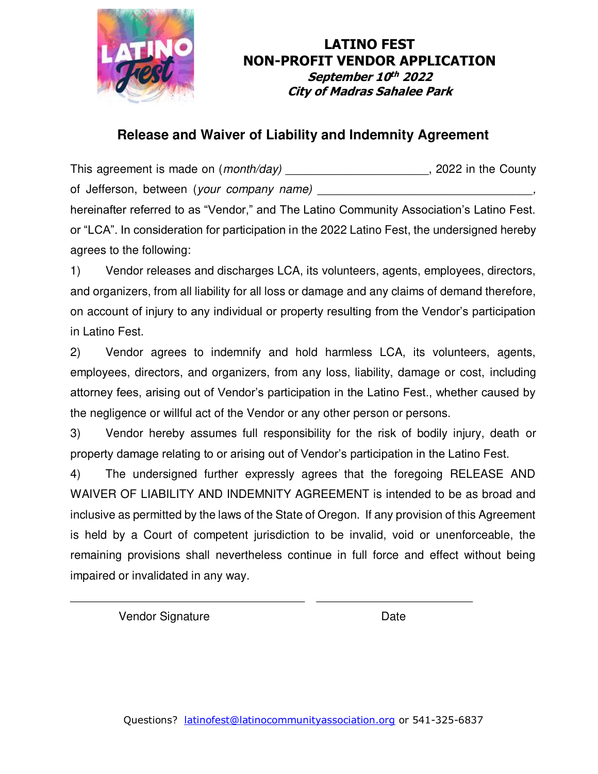

### **LATINO FEST NON-PROFIT VENDOR APPLICATION September 10<sup>th</sup> 2022 City of Madras Sahalee Park**

## **Release and Waiver of Liability and Indemnity Agreement**

This agreement is made on (*month/day*) \_\_\_\_\_\_\_\_\_\_\_\_\_\_\_\_\_\_\_\_\_\_, 2022 in the County of Jefferson, between (*your company name*) hereinafter referred to as "Vendor," and The Latino Community Association's Latino Fest.

or "LCA". In consideration for participation in the 2022 Latino Fest, the undersigned hereby agrees to the following:

1) Vendor releases and discharges LCA, its volunteers, agents, employees, directors, and organizers, from all liability for all loss or damage and any claims of demand therefore, on account of injury to any individual or property resulting from the Vendor's participation in Latino Fest.

2) Vendor agrees to indemnify and hold harmless LCA, its volunteers, agents, employees, directors, and organizers, from any loss, liability, damage or cost, including attorney fees, arising out of Vendor's participation in the Latino Fest., whether caused by the negligence or willful act of the Vendor or any other person or persons.

3) Vendor hereby assumes full responsibility for the risk of bodily injury, death or property damage relating to or arising out of Vendor's participation in the Latino Fest.

4) The undersigned further expressly agrees that the foregoing RELEASE AND WAIVER OF LIABILITY AND INDEMNITY AGREEMENT is intended to be as broad and inclusive as permitted by the laws of the State of Oregon. If any provision of this Agreement is held by a Court of competent jurisdiction to be invalid, void or unenforceable, the remaining provisions shall nevertheless continue in full force and effect without being impaired or invalidated in any way.

\_\_\_\_\_\_\_\_\_\_\_\_\_\_\_\_\_\_\_\_\_\_\_\_\_\_\_\_\_\_\_\_\_\_\_\_ \_\_\_\_\_\_\_\_\_\_\_\_\_\_\_\_\_\_\_\_\_\_\_\_

Vendor Signature Date Date